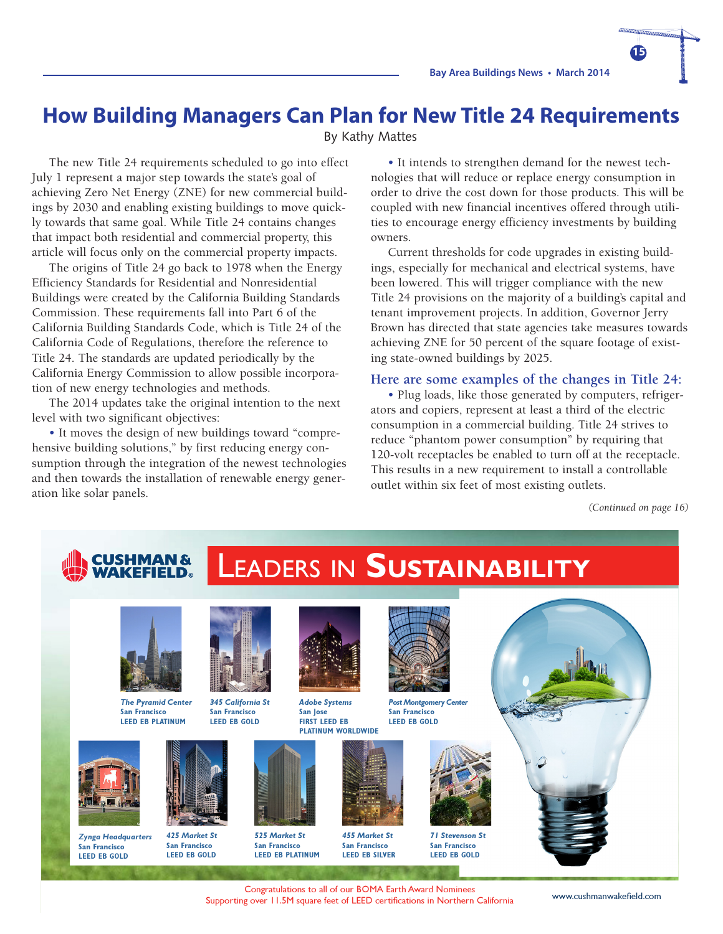### **How Building Managers Can Plan for New Title 24 Requirements**

By Kathy Mattes

The new Title 24 requirements scheduled to go into effect July 1 represent a major step towards the state's goal of achieving Zero Net Energy (ZNE) for new commercial buildings by 2030 and enabling existing buildings to move quickly towards that same goal. While Title 24 contains changes that impact both residential and commercial property, this article will focus only on the commercial property impacts.

The origins of Title 24 go back to 1978 when the Energy Efficiency Standards for Residential and Nonresidential Buildings were created by the California Building Standards Commission. These requirements fall into Part 6 of the California Building Standards Code, which is Title 24 of the California Code of Regulations, therefore the reference to Title 24. The standards are updated periodically by the California Energy Commission to allow possible incorporation of new energy technologies and methods.

The 2014 updates take the original intention to the next level with two significant objectives:

• It moves the design of new buildings toward "comprehensive building solutions," by first reducing energy consumption through the integration of the newest technologies and then towards the installation of renewable energy generation like solar panels.

• It intends to strengthen demand for the newest technologies that will reduce or replace energy consumption in order to drive the cost down for those products. This will be coupled with new financial incentives offered through utilities to encourage energy efficiency investments by building owners.

Current thresholds for code upgrades in existing buildings, especially for mechanical and electrical systems, have been lowered. This will trigger compliance with the new Title 24 provisions on the majority of a building's capital and tenant improvement projects. In addition, Governor Jerry Brown has directed that state agencies take measures towards achieving ZNE for 50 percent of the square footage of existing state-owned buildings by 2025.

#### **Here are some examples of the changes in Title 24:**

• Plug loads, like those generated by computers, refrigerators and copiers, represent at least a third of the electric consumption in a commercial building. Title 24 strives to reduce "phantom power consumption" by requiring that 120-volt receptacles be enabled to turn off at the receptacle. This results in a new requirement to install a controllable outlet within six feet of most existing outlets.

*(Continued on page 16)*

**15**

# LEADERS IN **SUSTAINABILITY**

*Adobe Systems* **San Jose FIRST LEED EB** 



*The Pyramid Center* **San Francisco LEED EB PLATINUM**

> *425 Market St* **San Francisco LEED EB GOLD**



*Zynga Headquarters* **San Francisco LEED EB GOLD**







*525 Market St* **San Francisco LEED EB PLATINUM**



**PLATINUM WORLDWIDE** *Post Montgomery Center* **San Francisco LEED EB GOLD**



*455 Market St* **San Francisco LEED EB SILVER**



*71 Stevenson St* **San Francisco LEED EB GOLD**



Congratulations to all of our BOMA Earth Award Nominees Supporting over 11.5M square feet of LEED certifications in Northern California www.cushmanwakefield.com